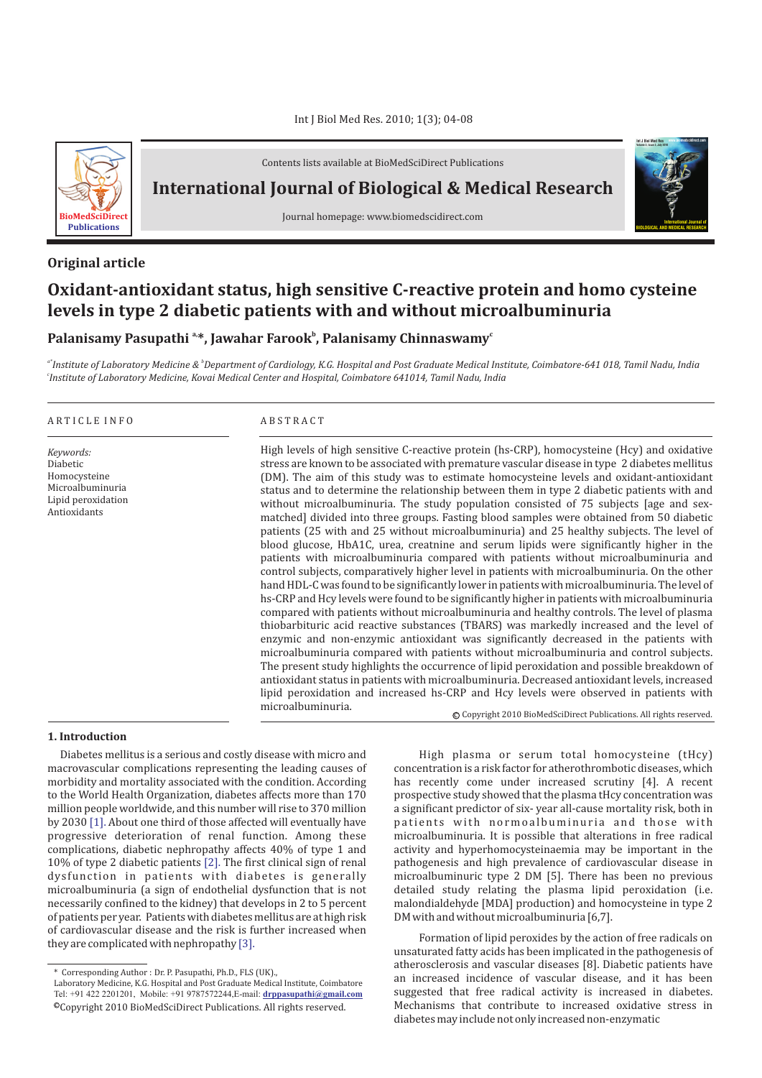

Contents lists available at BioMedSciDirect Publications

## **International Journal of Biological & Medical Research**

Journal homepage: www.biomedscidirect.com

### **Original article**

# **Oxidant-antioxidant status, high sensitive C-reactive protein and homo cysteine levels in type 2 diabetic patients with and without microalbuminuria**

### Palanisamy Pasupathi <sup>a,</sup>\*, Jawahar Farook<sup>b</sup>, Palanisamy Chinnaswamy<sup>c</sup>

*a\* b Institute of Laboratory Medicine & Department of Cardiology, K.G. Hospital and Post Graduate Medical Institute, Coimbatore-641 018, Tamil Nadu, India c Institute of Laboratory Medicine, Kovai Medical Center and Hospital, Coimbatore 641014, Tamil Nadu, India*

#### A R T I C L E I N F O A B S T R A C T

*Keywords:* Diabetic Homocysteine Microalbuminuria Lipid peroxidation Antioxidants

High levels of high sensitive C-reactive protein (hs-CRP), homocysteine (Hcy) and oxidative stress are known to be associated with premature vascular disease in type 2 diabetes mellitus (DM). The aim of this study was to estimate homocysteine levels and oxidant-antioxidant status and to determine the relationship between them in type 2 diabetic patients with and without microalbuminuria. The study population consisted of 75 subjects [age and sexmatched] divided into three groups. Fasting blood samples were obtained from 50 diabetic patients (25 with and 25 without microalbuminuria) and 25 healthy subjects. The level of blood glucose, HbA1C, urea, creatnine and serum lipids were significantly higher in the patients with microalbuminuria compared with patients without microalbuminuria and control subjects, comparatively higher level in patients with microalbuminuria. On the other hand HDL-C was found to be significantly lower in patients with microalbuminuria. The level of hs-CRP and Hcy levels were found to be significantly higher in patients with microalbuminuria compared with patients without microalbuminuria and healthy controls. The level of plasma thiobarbituric acid reactive substances (TBARS) was markedly increased and the level of enzymic and non-enzymic antioxidant was significantly decreased in the patients with microalbuminuria compared with patients without microalbuminuria and control subjects. The present study highlights the occurrence of lipid peroxidation and possible breakdown of antioxidant status in patients with microalbuminuria. Decreased antioxidant levels, increased lipid peroxidation and increased hs-CRP and Hcy levels were observed in patients with microalbuminuria.

#### **1. Introduction**

Diabetes mellitus is a serious and costly disease with micro and macrovascular complications representing the leading causes of morbidity and mortality associated with the condition. According to the World Health Organization, diabetes affects more than 170 million people worldwide, and this number will rise to 370 million by 2030 [1]. About one third of those affected will eventually have progressive deterioration of renal function. Among these complications, diabetic nephropathy affects 40% of type 1 and 10% of type 2 diabetic patients [2]. The first clinical sign of renal dysfunction in patients with diabetes is generally microalbuminuria (a sign of endothelial dysfunction that is not necessarily confined to the kidney) that develops in 2 to 5 percent of patients per year. Patients with diabetes mellitus are at high risk of cardiovascular disease and the risk is further increased when they are complicated with nephropathy [3].

High plasma or serum total homocysteine (tHcy) concentration is a risk factor for atherothrombotic diseases, which has recently come under increased scrutiny [4]. A recent prospective study showed that the plasma tHcy concentration was a significant predictor of six- year all-cause mortality risk, both in patients with normoalbuminuria and those with microalbuminuria. It is possible that alterations in free radical activity and hyperhomocysteinaemia may be important in the pathogenesis and high prevalence of cardiovascular disease in microalbuminuric type 2 DM [5]. There has been no previous detailed study relating the plasma lipid peroxidation (i.e. malondialdehyde [MDA] production) and homocysteine in type 2 DM with and without microalbuminuria [6,7].

© Copyright 2010 BioMedSciDirect Publications. All rights reserved.

**International Journal of BIOLOGICAL AND MEDICAL RESEARCH**

**Int J Biol Med Res www.biomedscidirect.com Volume 3, Issue 3, July 2010**

Formation of lipid peroxides by the action of free radicals on unsaturated fatty acids has been implicated in the pathogenesis of atherosclerosis and vascular diseases [8]. Diabetic patients have an increased incidence of vascular disease, and it has been suggested that free radical activity is increased in diabetes. Mechanisms that contribute to increased oxidative stress in diabetes may include not only increased non-enzymatic

<sup>\*</sup> Corresponding Author : Dr. P. Pasupathi, Ph.D., FLS (UK).,

<sup>©</sup>Copyright 2010 BioMedSciDirect Publications. All rights reserved. Laboratory Medicine, K.G. Hospital and Post Graduate Medical Institute, Coimbatore Tel: +91 422 2201201, Mobile: +91 9787572244,E-mail: **[drppasupathi@gmail.com](mailto:drppasupathi@gmail.com)**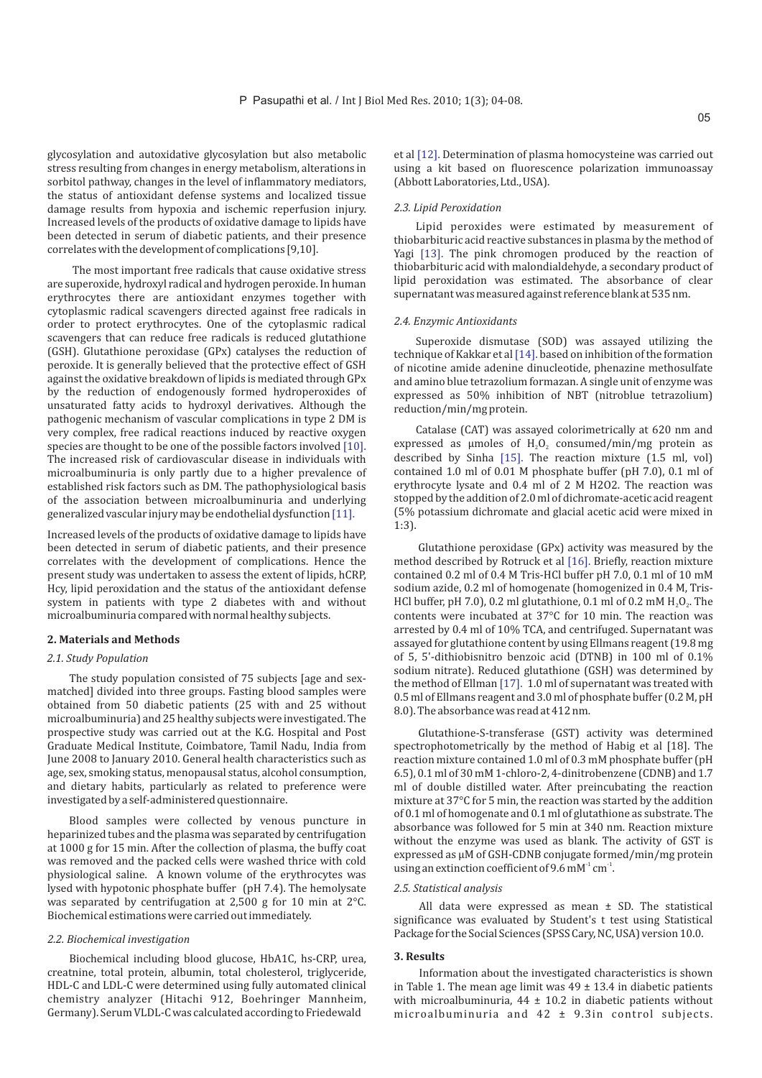glycosylation and autoxidative glycosylation but also metabolic stress resulting from changes in energy metabolism, alterations in sorbitol pathway, changes in the level of inflammatory mediators, the status of antioxidant defense systems and localized tissue damage results from hypoxia and ischemic reperfusion injury. Increased levels of the products of oxidative damage to lipids have been detected in serum of diabetic patients, and their presence correlates with the development of complications [9,10].

The most important free radicals that cause oxidative stress are superoxide, hydroxyl radical and hydrogen peroxide. In human erythrocytes there are antioxidant enzymes together with cytoplasmic radical scavengers directed against free radicals in order to protect erythrocytes. One of the cytoplasmic radical scavengers that can reduce free radicals is reduced glutathione (GSH). Glutathione peroxidase (GPx) catalyses the reduction of peroxide. It is generally believed that the protective effect of GSH against the oxidative breakdown of lipids is mediated through GPx by the reduction of endogenously formed hydroperoxides of unsaturated fatty acids to hydroxyl derivatives. Although the pathogenic mechanism of vascular complications in type 2 DM is very complex, free radical reactions induced by reactive oxygen species are thought to be one of the possible factors involved [10]. The increased risk of cardiovascular disease in individuals with microalbuminuria is only partly due to a higher prevalence of established risk factors such as DM. The pathophysiological basis of the association between microalbuminuria and underlying generalized vascular injury may be endothelial dysfunction [11].

Increased levels of the products of oxidative damage to lipids have been detected in serum of diabetic patients, and their presence correlates with the development of complications. Hence the present study was undertaken to assess the extent of lipids, hCRP, Hcy, lipid peroxidation and the status of the antioxidant defense system in patients with type 2 diabetes with and without microalbuminuria compared with normal healthy subjects.

#### **2. Materials and Methods**

### *2.1. Study Population*

The study population consisted of 75 subjects [age and sexmatched] divided into three groups. Fasting blood samples were obtained from 50 diabetic patients (25 with and 25 without microalbuminuria) and 25 healthy subjects were investigated. The prospective study was carried out at the K.G. Hospital and Post Graduate Medical Institute, Coimbatore, Tamil Nadu, India from June 2008 to January 2010. General health characteristics such as age, sex, smoking status, menopausal status, alcohol consumption, and dietary habits, particularly as related to preference were investigated by a self-administered questionnaire.

Blood samples were collected by venous puncture in heparinized tubes and the plasma was separated by centrifugation at 1000 g for 15 min. After the collection of plasma, the buffy coat was removed and the packed cells were washed thrice with cold physiological saline. A known volume of the erythrocytes was lysed with hypotonic phosphate buffer (pH 7.4). The hemolysate was separated by centrifugation at 2,500 g for 10 min at 2°C. Biochemical estimations were carried out immediately.

#### *2.2. Biochemical investigation*

Biochemical including blood glucose, HbA1C, hs-CRP, urea, creatnine, total protein, albumin, total cholesterol, triglyceride, HDL-C and LDL-C were determined using fully automated clinical chemistry analyzer (Hitachi 912, Boehringer Mannheim, Germany). Serum VLDL-C was calculated according to Friedewald

et al [12]. Determination of plasma homocysteine was carried out using a kit based on fluorescence polarization immunoassay (Abbott Laboratories, Ltd., USA).

#### *2.3. Lipid Peroxidation*

Lipid peroxides were estimated by measurement of thiobarbituric acid reactive substances in plasma by the method of Yagi [13]. The pink chromogen produced by the reaction of thiobarbituric acid with malondialdehyde, a secondary product of lipid peroxidation was estimated. The absorbance of clear supernatant was measured against reference blank at 535 nm.

#### *2.4. Enzymic Antioxidants*

Superoxide dismutase (SOD) was assayed utilizing the technique of Kakkar et al [14]. based on inhibition of the formation of nicotine amide adenine dinucleotide, phenazine methosulfate and amino blue tetrazolium formazan. A single unit of enzyme was expressed as 50% inhibition of NBT (nitroblue tetrazolium) reduction/min/mg protein.

Catalase (CAT) was assayed colorimetrically at 620 nm and expressed as umoles of  $H_2O_2$  consumed/min/mg protein as described by Sinha  $[15]$ . The reaction mixture  $(1.5 \text{ ml}, \text{vol})$ contained 1.0 ml of 0.01 M phosphate buffer (pH 7.0), 0.1 ml of erythrocyte lysate and 0.4 ml of 2 M H2O2. The reaction was stopped by the addition of 2.0 ml of dichromate-acetic acid reagent (5% potassium dichromate and glacial acetic acid were mixed in 1:3).

Glutathione peroxidase (GPx) activity was measured by the method described by Rotruck et al [16]. Briefly, reaction mixture contained 0.2 ml of 0.4 M Tris-HCl buffer pH 7.0, 0.1 ml of 10 mM sodium azide, 0.2 ml of homogenate (homogenized in 0.4 M, Tris-HCl buffer, pH 7.0), 0.2 ml glutathione, 0.1 ml of 0.2 mM  $H<sub>2</sub>O<sub>2</sub>$ . The contents were incubated at 37°C for 10 min. The reaction was arrested by 0.4 ml of 10% TCA, and centrifuged. Supernatant was assayed for glutathione content by using Ellmans reagent (19.8 mg of 5, 5'-dithiobisnitro benzoic acid (DTNB) in 100 ml of 0.1% sodium nitrate). Reduced glutathione (GSH) was determined by the method of Ellman  $[17]$ . 1.0 ml of supernatant was treated with 0.5 ml of Ellmans reagent and 3.0 ml of phosphate buffer (0.2 M, pH 8.0). The absorbance was read at 412 nm.

Glutathione-S-transferase (GST) activity was determined spectrophotometrically by the method of Habig et al [18]. The reaction mixture contained 1.0 ml of 0.3 mM phosphate buffer (pH 6.5), 0.1 ml of 30 mM 1-chloro-2, 4-dinitrobenzene (CDNB) and 1.7 ml of double distilled water. After preincubating the reaction mixture at 37°C for 5 min, the reaction was started by the addition of 0.1 ml of homogenate and 0.1 ml of glutathione as substrate. The absorbance was followed for 5 min at 340 nm. Reaction mixture without the enzyme was used as blank. The activity of GST is expressed as µM of GSH-CDNB conjugate formed/min/mg protein using an extinction coefficient of 9.6 mM $^1$  cm $^1$ .

#### *2.5. Statistical analysis*

All data were expressed as mean ± SD. The statistical significance was evaluated by Student's t test using Statistical Package for the Social Sciences (SPSS Cary, NC, USA) version 10.0.

#### **3. Results**

Information about the investigated characteristics is shown in Table 1. The mean age limit was  $49 \pm 13.4$  in diabetic patients with microalbuminuria,  $44 \pm 10.2$  in diabetic patients without microalbuminuria and 42 ± 9.3in control subjects.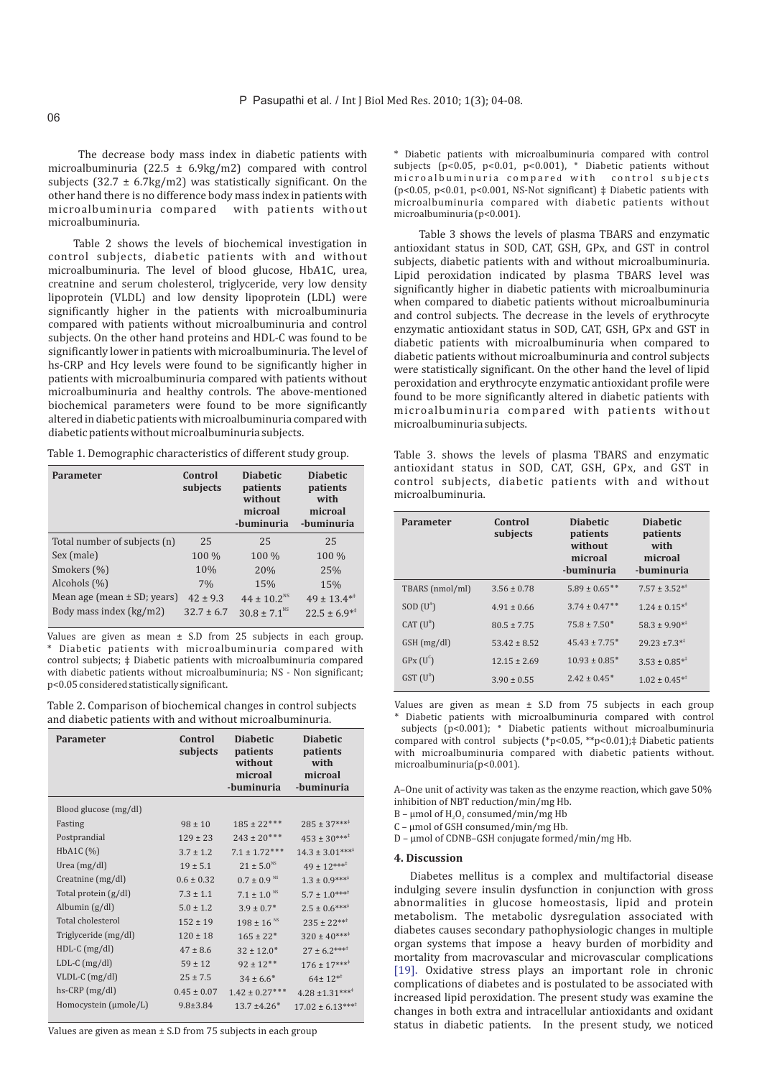The decrease body mass index in diabetic patients with microalbuminuria (22.5 ± 6.9kg/m2) compared with control subjects  $(32.7 \pm 6.7 \text{kg/m2})$  was statistically significant. On the other hand there is no difference body mass index in patients with microalbuminuria compared with patients without microalbuminuria.

Table 2 shows the levels of biochemical investigation in control subjects, diabetic patients with and without microalbuminuria. The level of blood glucose, HbA1C, urea, creatnine and serum cholesterol, triglyceride, very low density lipoprotein (VLDL) and low density lipoprotein (LDL) were significantly higher in the patients with microalbuminuria compared with patients without microalbuminuria and control subjects. On the other hand proteins and HDL-C was found to be significantly lower in patients with microalbuminuria. The level of hs-CRP and Hcy levels were found to be significantly higher in patients with microalbuminuria compared with patients without microalbuminuria and healthy controls. The above-mentioned biochemical parameters were found to be more significantly altered in diabetic patients with microalbuminuria compared with diabetic patients without microalbuminuria subjects.

Table 1. Demographic characteristics of different study group.

| Parameter                       | Control<br>subjects | <b>Diabetic</b><br>patients<br>without<br>microal<br>-buminuria | <b>Diabetic</b><br>patients<br>with<br>microal<br>-buminuria |
|---------------------------------|---------------------|-----------------------------------------------------------------|--------------------------------------------------------------|
| Total number of subjects (n)    | 25                  | 25                                                              | 25                                                           |
| Sex (male)                      | 100 %               | 100 %                                                           | 100 %                                                        |
| Smokers (%)                     | 10%                 | 20%                                                             | 25%                                                          |
| Alcohols (%)                    | 7%                  | 15%                                                             | 15%                                                          |
| Mean age (mean $\pm$ SD; years) | $42 \pm 9.3$        | $44 \pm 10.2$ <sup>NS</sup>                                     | $49 \pm 13.4^{*}$                                            |
| Body mass index (kg/m2)         | $32.7 \pm 6.7$      | $30.8 \pm 7.1^{\text{NS}}$                                      | $22.5 \pm 6.9^{*+}$                                          |

Values are given as mean  $\pm$  S.D from 25 subjects in each group. \* Diabetic patients with microalbuminuria compared with control subjects; ‡ Diabetic patients with microalbuminuria compared with diabetic patients without microalbuminuria; NS - Non significant; p<0.05 considered statistically significant.

Table 2. Comparison of biochemical changes in control subjects and diabetic patients with and without microalbuminuria.

| Parameter             | Control<br>subjects | <b>Diabetic</b><br>patients<br>without<br>microal<br>-buminuria | <b>Diabetic</b><br>patients<br>with<br>microal<br>-buminuria |
|-----------------------|---------------------|-----------------------------------------------------------------|--------------------------------------------------------------|
| Blood glucose (mg/dl) |                     |                                                                 |                                                              |
| Fasting               | $98 \pm 10$         | $185 \pm 22***$                                                 | $285 \pm 37***$                                              |
| Postprandial          | $129 \pm 23$        | $243 \pm 20***$                                                 | $453 \pm 30***$                                              |
| HbA1C (%)             | $3.7 \pm 1.2$       | $7.1 \pm 1.72***$                                               | $14.3 \pm 3.01***$                                           |
| Urea (mg/dl)          | $19 \pm 5.1$        | $21 \pm 5.0$ <sup>NS</sup>                                      | $49 \pm 12***$                                               |
| Creatnine (mg/dl)     | $0.6 \pm 0.32$      | $0.7 \pm 0.9$ <sup>NS</sup>                                     | $1.3 \pm 0.9***$                                             |
| Total protein (g/dl)  | $7.3 \pm 1.1$       | $7.1 \pm 1.0$ <sup>NS</sup>                                     | $5.7 \pm 1.0***^*$                                           |
| Albumin $(g/dl)$      | $5.0 \pm 1.2$       | $3.9 \pm 0.7$ *                                                 | $2.5 \pm 0.6***$                                             |
| Total cholesterol     | $152 \pm 19$        | $198 \pm 16$ <sup>NS</sup>                                      | $235 \pm 22***$                                              |
| Triglyceride (mg/dl)  | $120 \pm 18$        | $165 \pm 22$ *                                                  | $320 \pm 40***$                                              |
| $HDL-C$ (mg/dl)       | $47 \pm 8.6$        | $32 \pm 12.0^*$                                                 | $27 \pm 6.2***$                                              |
| $LDL-C (mg/dl)$       | $59 \pm 12$         | $92 \pm 12***$                                                  | $176 \pm 17***$                                              |
| VLDL-C (mg/dl)        | $25 \pm 7.5$        | $34 \pm 6.6^*$                                                  | $64 \pm 12^{*}$                                              |
| $hs-CRP$ (mg/dl)      | $0.45 \pm 0.07$     | $1.42 \pm 0.27***$                                              | $4.28 \pm 1.31***$                                           |
| Homocystein (µmole/L) | $9.8 \pm 3.84$      | $13.7 \pm 4.26*$                                                | $17.02 \pm 6.13***$                                          |

Values are given as mean ± S.D from 75 subjects in each group

\* Diabetic patients with microalbuminuria compared with control subjects (p<0.05, p<0.01, p<0.001), \* Diabetic patients without microalbuminuria compared with control subjects (p<0.05, p<0.01, p<0.001, NS-Not significant)  $\ddagger$  Diabetic patients with microalbuminuria compared with diabetic patients without microalbuminuria (p<0.001).

Table 3 shows the levels of plasma TBARS and enzymatic antioxidant status in SOD, CAT, GSH, GPx, and GST in control subjects, diabetic patients with and without microalbuminuria. Lipid peroxidation indicated by plasma TBARS level was significantly higher in diabetic patients with microalbuminuria when compared to diabetic patients without microalbuminuria and control subjects. The decrease in the levels of erythrocyte enzymatic antioxidant status in SOD, CAT, GSH, GPx and GST in diabetic patients with microalbuminuria when compared to diabetic patients without microalbuminuria and control subjects were statistically significant. On the other hand the level of lipid peroxidation and erythrocyte enzymatic antioxidant profile were found to be more significantly altered in diabetic patients with microalbuminuria compared with patients without microalbuminuria subjects.

Table 3. shows the levels of plasma TBARS and enzymatic antioxidant status in SOD, CAT, GSH, GPx, and GST in control subjects, diabetic patients with and without microalbuminuria.

| <b>Parameter</b>      | Control<br>subjects | <b>Diabetic</b><br>patients<br>without<br>microal<br>-buminuria | <b>Diabetic</b><br>patients<br>with<br>microal<br>-buminuria |
|-----------------------|---------------------|-----------------------------------------------------------------|--------------------------------------------------------------|
| TBARS (nmol/ml)       | $3.56 \pm 0.78$     | $5.89 \pm 0.65$ **                                              | $7.57 \pm 3.52^{*}$                                          |
| SOD (U <sup>A</sup> ) | $4.91 \pm 0.66$     | $3.74 \pm 0.47$ **                                              | $1.24 \pm 0.15^{*}$                                          |
| CAT $(U^B)$           | $80.5 \pm 7.75$     | $75.8 \pm 7.50*$                                                | $58.3 \pm 9.90^{*+}$                                         |
| $GSH$ (mg/dl)         | $53.42 \pm 8.52$    | $45.43 \pm 7.75$ *                                              | $29.23 \pm 7.3**$                                            |
| $GPx$ $(U^c)$         | $12.15 \pm 2.69$    | $10.93 + 0.85*$                                                 | $3.53 \pm 0.85^{*}$                                          |
| $GST$ $(U^D)$         | $3.90 \pm 0.55$     | $2.42 \pm 0.45^*$                                               | $1.02 \pm 0.45^{*}$                                          |

Values are given as mean  $\pm$  S.D from 75 subjects in each group \* Diabetic patients with microalbuminuria compared with control

subjects ( $p$ <0.001); \* Diabetic patients without microalbuminuria compared with control subjects (\*p<0.05, \*\*p<0.01); $\ddagger$  Diabetic patients with microalbuminuria compared with diabetic patients without. microalbuminuria(p<0.001).

A–One unit of activity was taken as the enzyme reaction, which gave 50% inhibition of NBT reduction/min/mg Hb.

B -  $\mu$ mol of H<sub>2</sub>O<sub>2</sub> consumed/min/mg Hb

 $C$  –  $\mu$ mol of GSH consumed/min/mg Hb.

 $D$  –  $\mu$ mol of CDNB–GSH conjugate formed/min/mg Hb.

#### **4. Discussion**

Diabetes mellitus is a complex and multifactorial disease indulging severe insulin dysfunction in conjunction with gross abnormalities in glucose homeostasis, lipid and protein metabolism. The metabolic dysregulation associated with diabetes causes secondary pathophysiologic changes in multiple organ systems that impose a heavy burden of morbidity and mortality from macrovascular and microvascular complications [19]. Oxidative stress plays an important role in chronic complications of diabetes and is postulated to be associated with increased lipid peroxidation. The present study was examine the changes in both extra and intracellular antioxidants and oxidant status in diabetic patients. In the present study, we noticed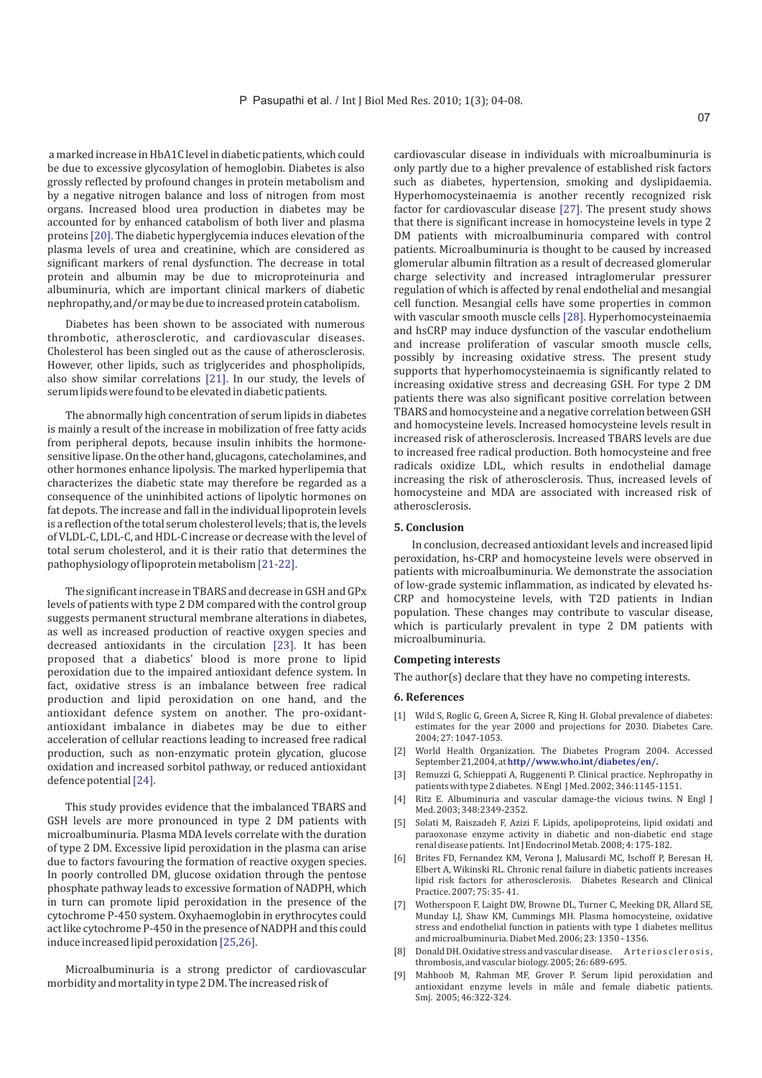a marked increase in HbA1C level in diabetic patients, which could be due to excessive glycosylation of hemoglobin. Diabetes is also grossly reflected by profound changes in protein metabolism and by a negative nitrogen balance and loss of nitrogen from most organs. Increased blood urea production in diabetes may be accounted for by enhanced catabolism of both liver and plasma proteins [20]. The diabetic hyperglycemia induces elevation of the plasma levels of urea and creatinine, which are considered as significant markers of renal dysfunction. The decrease in total protein and albumin may be due to microproteinuria and albuminuria, which are important clinical markers of diabetic nephropathy, and/or may be due to increased protein catabolism.

Diabetes has been shown to be associated with numerous thrombotic, atherosclerotic, and cardiovascular diseases. Cholesterol has been singled out as the cause of atherosclerosis. However, other lipids, such as triglycerides and phospholipids, also show similar correlations  $[21]$ . In our study, the levels of serum lipids were found to be elevated in diabetic patients.

[21-22]. pathophysiology of lipoprotein metabolism The abnormally high concentration of serum lipids in diabetes is mainly a result of the increase in mobilization of free fatty acids from peripheral depots, because insulin inhibits the hormonesensitive lipase. On the other hand, glucagons, catecholamines, and other hormones enhance lipolysis. The marked hyperlipemia that characterizes the diabetic state may therefore be regarded as a consequence of the uninhibited actions of lipolytic hormones on fat depots. The increase and fall in the individual lipoprotein levels is a reflection of the total serum cholesterol levels; that is, the levels of VLDL-C, LDL-C, and HDL-C increase or decrease with the level of total serum cholesterol, and it is their ratio that determines the

decreased antioxidants in the circulation [23]. It has been defence potential [24]. The significant increase in TBARS and decrease in GSH and GPx levels of patients with type 2 DM compared with the control group suggests permanent structural membrane alterations in diabetes, as well as increased production of reactive oxygen species and proposed that a diabetics' blood is more prone to lipid peroxidation due to the impaired antioxidant defence system. In fact, oxidative stress is an imbalance between free radical production and lipid peroxidation on one hand, and the antioxidant defence system on another. The pro-oxidantantioxidant imbalance in diabetes may be due to either acceleration of cellular reactions leading to increased free radical production, such as non-enzymatic protein glycation, glucose oxidation and increased sorbitol pathway, or reduced antioxidant

induce increased lipid peroxidation [25,26]. This study provides evidence that the imbalanced TBARS and GSH levels are more pronounced in type 2 DM patients with microalbuminuria. Plasma MDA levels correlate with the duration of type 2 DM. Excessive lipid peroxidation in the plasma can arise due to factors favouring the formation of reactive oxygen species. In poorly controlled DM, glucose oxidation through the pentose phosphate pathway leads to excessive formation of NADPH, which in turn can promote lipid peroxidation in the presence of the cytochrome P-450 system. Oxyhaemoglobin in erythrocytes could act like cytochrome P-450 in the presence of NADPH and this could

Microalbuminuria is a strong predictor of cardiovascular morbidity and mortality in type 2 DM. The increased risk of

cardiovascular disease in individuals with microalbuminuria is only partly due to a higher prevalence of established risk factors such as diabetes, hypertension, smoking and dyslipidaemia. Hyperhomocysteinaemia is another recently recognized risk factor for cardiovascular disease  $[27]$ . The present study shows that there is significant increase in homocysteine levels in type 2 DM patients with microalbuminuria compared with control patients. Microalbuminuria is thought to be caused by increased glomerular albumin filtration as a result of decreased glomerular charge selectivity and increased intraglomerular pressurer regulation of which is affected by renal endothelial and mesangial cell function. Mesangial cells have some properties in common with vascular smooth muscle cells [28]. Hyperhomocysteinaemia and hsCRP may induce dysfunction of the vascular endothelium and increase proliferation of vascular smooth muscle cells, possibly by increasing oxidative stress. The present study supports that hyperhomocysteinaemia is significantly related to increasing oxidative stress and decreasing GSH. For type 2 DM patients there was also significant positive correlation between TBARS and homocysteine and a negative correlation between GSH and homocysteine levels. Increased homocysteine levels result in increased risk of atherosclerosis. Increased TBARS levels are due to increased free radical production. Both homocysteine and free radicals oxidize LDL, which results in endothelial damage increasing the risk of atherosclerosis. Thus, increased levels of homocysteine and MDA are associated with increased risk of atherosclerosis.

#### **5. Conclusion**

In conclusion, decreased antioxidant levels and increased lipid peroxidation, hs-CRP and homocysteine levels were observed in patients with microalbuminuria. We demonstrate the association of low-grade systemic inflammation, as indicated by elevated hs-CRP and homocysteine levels, with T2D patients in Indian population. These changes may contribute to vascular disease, which is particularly prevalent in type 2 DM patients with microalbuminuria.

#### **Competing interests**

The author(s) declare that they have no competing interests.

#### **6. References**

- [1] Wild S, Roglic G, Green A, Sicree R, King H. Global prevalence of diabetes: estimates for the year 2000 and projections for 2030. Diabetes Care. 2004; 27: 1047-1053.
- [2] World Health Organization. The Diabetes Program 2004. Accessed September 21,2004, at **http//www.who.int/diabetes/en/.**
- Remuzzi G, Schieppati A, Ruggenenti P. Clinical practice. Nephropathy in patients with type 2 diabetes. N Engl J Med. 2002; 346:1145-1151.
- [4] Ritz E. Albuminuria and vascular damage-the vicious twins. N Engl J Med. 2003; 348:2349-2352.
- [5] Solati M, Raiszadeh F, Azizi F. Lipids, apolipoproteins, lipid oxidati and paraoxonase enzyme activity in diabetic and non-diabetic end stage renal disease patients. Int J Endocrinol Metab. 2008; 4: 175-182.
- Brites FD, Fernandez KM, Verona J, Malusardi MC, Ischoff P, Beresan H, Elbert A, Wikinski RL. Chronic renal failure in diabetic patients increases lipid risk factors for atherosclerosis. Diabetes Research and Clinical Practice. 2007; 75: 35- 41.
- Wotherspoon F, Laight DW, Browne DL, Turner C, Meeking DR, Allard SE, Munday LJ, Shaw KM, Cummings MH. Plasma homocysteine, oxidative stress and endothelial function in patients with type 1 diabetes mellitus and microalbuminuria. Diabet Med. 2006; 23: 1350 - 1356.
- [8] Donald DH. Oxidative stress and vascular disease. Arterios clerosis, thrombosis, and vascular biology. 2005; 26: 689-695.
- Mahboob M, Rahman MF, Grover P. Serum lipid peroxidation and antioxidant enzyme levels in mâle and female diabetic patients. Smj. 2005; 46:322-324.